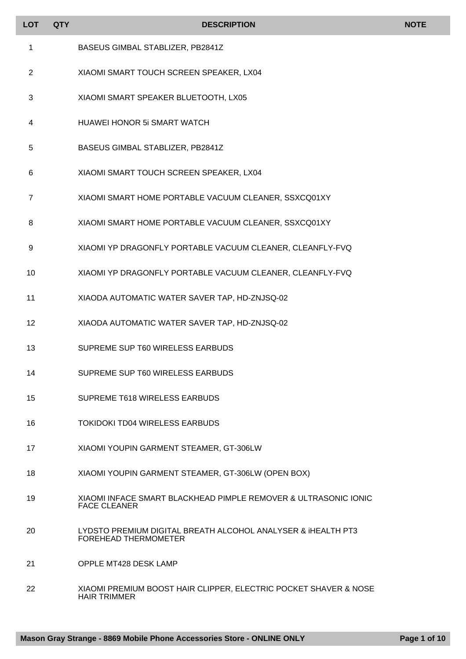| <b>LOT</b>     | <b>QTY</b> | <b>DESCRIPTION</b>                                                                      | <b>NOTE</b> |
|----------------|------------|-----------------------------------------------------------------------------------------|-------------|
| 1              |            | BASEUS GIMBAL STABLIZER, PB2841Z                                                        |             |
| $\overline{2}$ |            | XIAOMI SMART TOUCH SCREEN SPEAKER, LX04                                                 |             |
| 3              |            | XIAOMI SMART SPEAKER BLUETOOTH, LX05                                                    |             |
| 4              |            | <b>HUAWEI HONOR 5i SMART WATCH</b>                                                      |             |
| 5              |            | BASEUS GIMBAL STABLIZER, PB2841Z                                                        |             |
| 6              |            | XIAOMI SMART TOUCH SCREEN SPEAKER, LX04                                                 |             |
| 7              |            | XIAOMI SMART HOME PORTABLE VACUUM CLEANER, SSXCQ01XY                                    |             |
| 8              |            | XIAOMI SMART HOME PORTABLE VACUUM CLEANER, SSXCQ01XY                                    |             |
| 9              |            | XIAOMI YP DRAGONFLY PORTABLE VACUUM CLEANER, CLEANFLY-FVQ                               |             |
| 10             |            | XIAOMI YP DRAGONFLY PORTABLE VACUUM CLEANER, CLEANFLY-FVQ                               |             |
| 11             |            | XIAODA AUTOMATIC WATER SAVER TAP, HD-ZNJSQ-02                                           |             |
| 12             |            | XIAODA AUTOMATIC WATER SAVER TAP, HD-ZNJSQ-02                                           |             |
| 13             |            | SUPREME SUP T60 WIRELESS EARBUDS                                                        |             |
| 14             |            | SUPREME SUP T60 WIRELESS EARBUDS                                                        |             |
| 15             |            | SUPREME T618 WIRELESS EARBUDS                                                           |             |
| 16             |            | <b>TOKIDOKI TD04 WIRELESS EARBUDS</b>                                                   |             |
| 17             |            | XIAOMI YOUPIN GARMENT STEAMER, GT-306LW                                                 |             |
| 18             |            | XIAOMI YOUPIN GARMENT STEAMER, GT-306LW (OPEN BOX)                                      |             |
| 19             |            | XIAOMI INFACE SMART BLACKHEAD PIMPLE REMOVER & ULTRASONIC IONIC<br><b>FACE CLEANER</b>  |             |
| 20             |            | LYDSTO PREMIUM DIGITAL BREATH ALCOHOL ANALYSER & IHEALTH PT3<br>FOREHEAD THERMOMETER    |             |
| 21             |            | <b>OPPLE MT428 DESK LAMP</b>                                                            |             |
| 22             |            | XIAOMI PREMIUM BOOST HAIR CLIPPER, ELECTRIC POCKET SHAVER & NOSE<br><b>HAIR TRIMMER</b> |             |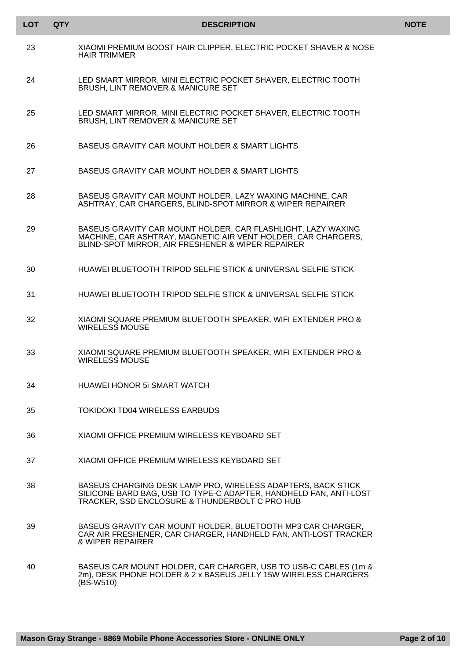| LOT | <b>QTY</b> | <b>DESCRIPTION</b>                                                                                                                                                                  | <b>NOTE</b> |
|-----|------------|-------------------------------------------------------------------------------------------------------------------------------------------------------------------------------------|-------------|
| 23  |            | XIAOMI PREMIUM BOOST HAIR CLIPPER, ELECTRIC POCKET SHAVER & NOSE<br><b>HAIR TRIMMER</b>                                                                                             |             |
| 24  |            | LED SMART MIRROR, MINI ELECTRIC POCKET SHAVER, ELECTRIC TOOTH<br><b>BRUSH, LINT REMOVER &amp; MANICURE SET</b>                                                                      |             |
| 25  |            | LED SMART MIRROR, MINI ELECTRIC POCKET SHAVER, ELECTRIC TOOTH<br><b>BRUSH, LINT REMOVER &amp; MANICURE SET</b>                                                                      |             |
| 26  |            | BASEUS GRAVITY CAR MOUNT HOLDER & SMART LIGHTS                                                                                                                                      |             |
| 27  |            | BASEUS GRAVITY CAR MOUNT HOLDER & SMART LIGHTS                                                                                                                                      |             |
| 28  |            | BASEUS GRAVITY CAR MOUNT HOLDER, LAZY WAXING MACHINE, CAR<br>ASHTRAY, CAR CHARGERS, BLIND-SPOT MIRROR & WIPER REPAIRER                                                              |             |
| 29  |            | BASEUS GRAVITY CAR MOUNT HOLDER, CAR FLASHLIGHT, LAZY WAXING<br>MACHINE, CAR ASHTRAY, MAGNETIC AIR VENT HOLDER, CAR CHARGERS,<br>BLIND-SPOT MIRROR, AIR FRESHENER & WIPER REPAIRER  |             |
| 30  |            | HUAWEI BLUETOOTH TRIPOD SELFIE STICK & UNIVERSAL SELFIE STICK                                                                                                                       |             |
| 31  |            | HUAWEI BLUETOOTH TRIPOD SELFIE STICK & UNIVERSAL SELFIE STICK                                                                                                                       |             |
| 32  |            | XIAOMI SQUARE PREMIUM BLUETOOTH SPEAKER, WIFI EXTENDER PRO &<br><b>WIRELESS MOUSE</b>                                                                                               |             |
| 33  |            | XIAOMI SQUARE PREMIUM BLUETOOTH SPEAKER, WIFI EXTENDER PRO &<br><b>WIRELESS MOUSE</b>                                                                                               |             |
| 34  |            | HUAWEI HONOR 5i SMART WATCH                                                                                                                                                         |             |
| 35  |            | TOKIDOKI TD04 WIRELESS EARBUDS                                                                                                                                                      |             |
| 36  |            | XIAOMI OFFICE PREMIUM WIRELESS KEYBOARD SET                                                                                                                                         |             |
| 37  |            | XIAOMI OFFICE PREMIUM WIRELESS KEYBOARD SET                                                                                                                                         |             |
| 38  |            | BASEUS CHARGING DESK LAMP PRO, WIRELESS ADAPTERS, BACK STICK<br>SILICONE BARD BAG, USB TO TYPE-C ADAPTER, HANDHELD FAN, ANTI-LOST<br>TRACKER, SSD ENCLOSURE & THUNDERBOLT C PRO HUB |             |
| 39  |            | BASEUS GRAVITY CAR MOUNT HOLDER, BLUETOOTH MP3 CAR CHARGER,<br>CAR AIR FRESHENER, CAR CHARGER, HANDHELD FAN, ANTI-LOST TRACKER<br>& WIPER REPAIRER                                  |             |
| 40  |            | BASEUS CAR MOUNT HOLDER, CAR CHARGER, USB TO USB-C CABLES (1m &<br>2m), DESK PHONE HOLDER & 2 x BASEUS JELLY 15W WIRELESS CHARGERS<br>$(BS-W510)$                                   |             |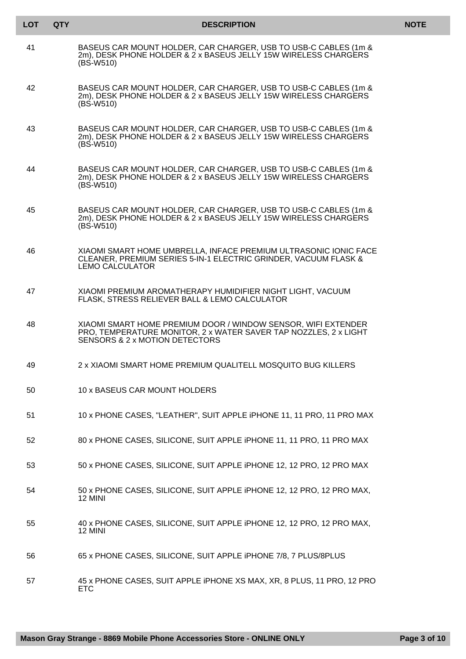| LOT | <b>QTY</b> | <b>DESCRIPTION</b>                                                                                                                                                  | <b>NOTE</b> |
|-----|------------|---------------------------------------------------------------------------------------------------------------------------------------------------------------------|-------------|
| 41  |            | BASEUS CAR MOUNT HOLDER, CAR CHARGER, USB TO USB-C CABLES (1m &<br>2m), DESK PHONE HOLDER & 2 x BASEUS JELLY 15W WIRELESS CHARGERS<br>$(BS-W510)$                   |             |
| 42  |            | BASEUS CAR MOUNT HOLDER, CAR CHARGER, USB TO USB-C CABLES (1m &<br>2m), DESK PHONE HOLDER & 2 x BASEUS JELLY 15W WIRELESS CHARGERS<br>$(BS-W510)$                   |             |
| 43  |            | BASEUS CAR MOUNT HOLDER, CAR CHARGER, USB TO USB-C CABLES (1m &<br>2m), DESK PHONE HOLDER & 2 x BASEUS JELLY 15W WIRELESS CHARGERS<br>$(BS-W510)$                   |             |
| 44  |            | BASEUS CAR MOUNT HOLDER, CAR CHARGER, USB TO USB-C CABLES (1m &<br>2m), DESK PHONE HOLDER & 2 x BASEUS JELLY 15W WIRELESS CHARGERS<br>$(BS-W510)$                   |             |
| 45  |            | BASEUS CAR MOUNT HOLDER, CAR CHARGER, USB TO USB-C CABLES (1m &<br>2m), DESK PHONE HOLDER & 2 x BASEUS JELLY 15W WIRELESS CHARGERS<br>$(BS-W510)$                   |             |
| 46  |            | XIAOMI SMART HOME UMBRELLA, INFACE PREMIUM ULTRASONIC IONIC FACE<br>CLEANER, PREMIUM SERIES 5-IN-1 ELECTRIC GRINDER, VACUUM FLASK &<br><b>LEMO CALCULATOR</b>       |             |
| 47  |            | XIAOMI PREMIUM AROMATHERAPY HUMIDIFIER NIGHT LIGHT, VACUUM<br>FLASK, STRESS RELIEVER BALL & LEMO CALCULATOR                                                         |             |
| 48  |            | XIAOMI SMART HOME PREMIUM DOOR / WINDOW SENSOR, WIFI EXTENDER<br>PRO, TEMPERATURE MONITOR, 2 x WATER SAVER TAP NOZZLES, 2 x LIGHT<br>SENSORS & 2 x MOTION DETECTORS |             |
| 49  |            | 2 x XIAOMI SMART HOME PREMIUM QUALITELL MOSQUITO BUG KILLERS                                                                                                        |             |
| 50  |            | 10 x BASEUS CAR MOUNT HOLDERS                                                                                                                                       |             |
| 51  |            | 10 x PHONE CASES, "LEATHER", SUIT APPLE IPHONE 11, 11 PRO, 11 PRO MAX                                                                                               |             |
| 52  |            | 80 x PHONE CASES, SILICONE, SUIT APPLE IPHONE 11, 11 PRO, 11 PRO MAX                                                                                                |             |
| 53  |            | 50 x PHONE CASES, SILICONE, SUIT APPLE IPHONE 12, 12 PRO, 12 PRO MAX                                                                                                |             |
| 54  |            | 50 x PHONE CASES, SILICONE, SUIT APPLE IPHONE 12, 12 PRO, 12 PRO MAX,<br>12 MINI                                                                                    |             |
| 55  |            | 40 x PHONE CASES, SILICONE, SUIT APPLE IPHONE 12, 12 PRO, 12 PRO MAX,<br>12 MINI                                                                                    |             |
| 56  |            | 65 x PHONE CASES, SILICONE, SUIT APPLE IPHONE 7/8, 7 PLUS/8PLUS                                                                                                     |             |
| 57  |            | 45 x PHONE CASES, SUIT APPLE IPHONE XS MAX, XR, 8 PLUS, 11 PRO, 12 PRO<br><b>ETC</b>                                                                                |             |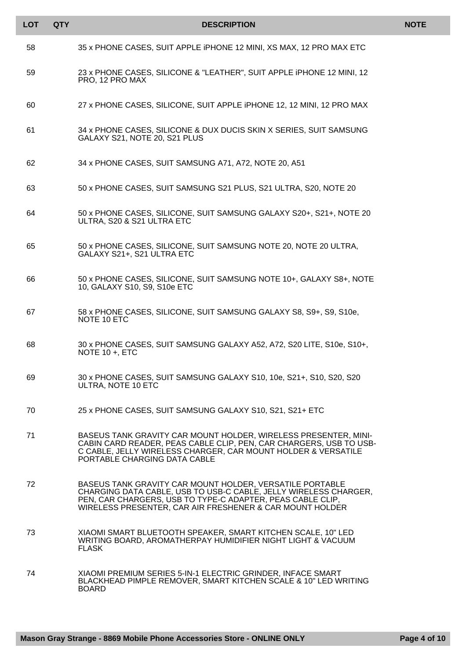| <b>LOT</b> | <b>QTY</b> | <b>DESCRIPTION</b>                                                                                                                                                                                                                                     | <b>NOTE</b> |
|------------|------------|--------------------------------------------------------------------------------------------------------------------------------------------------------------------------------------------------------------------------------------------------------|-------------|
| 58         |            | 35 x PHONE CASES, SUIT APPLE IPHONE 12 MINI, XS MAX, 12 PRO MAX ETC                                                                                                                                                                                    |             |
| 59         |            | 23 x PHONE CASES, SILICONE & "LEATHER", SUIT APPLE IPHONE 12 MINI, 12<br>PRO, 12 PRO MAX                                                                                                                                                               |             |
| 60         |            | 27 x PHONE CASES, SILICONE, SUIT APPLE IPHONE 12, 12 MINI, 12 PRO MAX                                                                                                                                                                                  |             |
| 61         |            | 34 x PHONE CASES, SILICONE & DUX DUCIS SKIN X SERIES, SUIT SAMSUNG<br>GALAXY S21, NOTE 20, S21 PLUS                                                                                                                                                    |             |
| 62         |            | 34 x PHONE CASES, SUIT SAMSUNG A71, A72, NOTE 20, A51                                                                                                                                                                                                  |             |
| 63         |            | 50 x PHONE CASES, SUIT SAMSUNG S21 PLUS, S21 ULTRA, S20, NOTE 20                                                                                                                                                                                       |             |
| 64         |            | 50 x PHONE CASES, SILICONE, SUIT SAMSUNG GALAXY S20+, S21+, NOTE 20<br>ULTRA, S20 & S21 ULTRA ETC                                                                                                                                                      |             |
| 65         |            | 50 x PHONE CASES, SILICONE, SUIT SAMSUNG NOTE 20, NOTE 20 ULTRA,<br>GALAXY S21+, S21 ULTRA ETC                                                                                                                                                         |             |
| 66         |            | 50 x PHONE CASES, SILICONE, SUIT SAMSUNG NOTE 10+, GALAXY S8+, NOTE<br>10, GALAXY S10, S9, S10e ETC                                                                                                                                                    |             |
| 67         |            | 58 x PHONE CASES, SILICONE, SUIT SAMSUNG GALAXY S8, S9+, S9, S10e,<br>NOTE 10 ETC                                                                                                                                                                      |             |
| 68         |            | 30 x PHONE CASES, SUIT SAMSUNG GALAXY A52, A72, S20 LITE, S10e, S10+,<br>NOTE 10 +, ETC                                                                                                                                                                |             |
| 69         |            | 30 x PHONE CASES, SUIT SAMSUNG GALAXY S10, 10e, S21+, S10, S20, S20<br>ULTRA, NOTE 10 ETC                                                                                                                                                              |             |
| 70         |            | 25 x PHONE CASES, SUIT SAMSUNG GALAXY S10, S21, S21+ ETC                                                                                                                                                                                               |             |
| 71         |            | BASEUS TANK GRAVITY CAR MOUNT HOLDER, WIRELESS PRESENTER, MINI-<br>CABIN CARD READER, PEAS CABLE CLIP, PEN, CAR CHARGERS, USB TO USB-<br>C CABLE, JELLY WIRELESS CHARGER, CAR MOUNT HOLDER & VERSATILE<br>PORTABLE CHARGING DATA CABLE                 |             |
| 72         |            | BASEUS TANK GRAVITY CAR MOUNT HOLDER, VERSATILE PORTABLE<br>CHARGING DATA CABLE, USB TO USB-C CABLE, JELLY WIRELESS CHARGER,<br>PEN, CAR CHARGERS, USB TO TYPE-C ADAPTER, PEAS CABLE CLIP,<br>WIRELESS PRESENTER, CAR AIR FRESHENER & CAR MOUNT HOLDER |             |
| 73         |            | XIAOMI SMART BLUETOOTH SPEAKER, SMART KITCHEN SCALE, 10" LED<br>WRITING BOARD, AROMATHERPAY HUMIDIFIER NIGHT LIGHT & VACUUM<br><b>FLASK</b>                                                                                                            |             |
| 74         |            | XIAOMI PREMIUM SERIES 5-IN-1 ELECTRIC GRINDER, INFACE SMART<br>BLACKHEAD PIMPLE REMOVER, SMART KITCHEN SCALE & 10" LED WRITING<br><b>BOARD</b>                                                                                                         |             |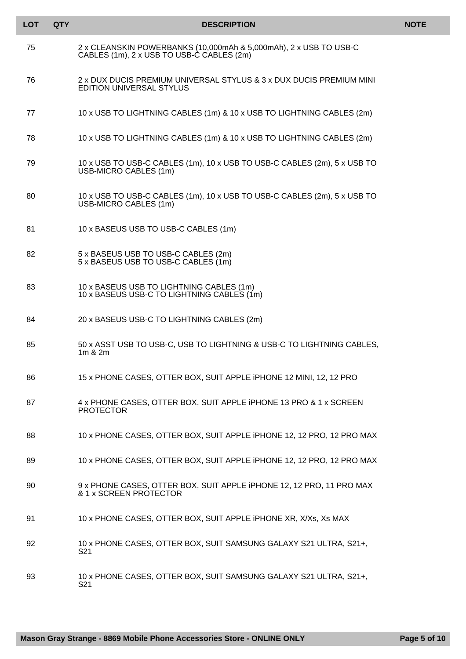| <b>LOT</b> | <b>QTY</b> | <b>DESCRIPTION</b>                                                                                             | <b>NOTE</b> |
|------------|------------|----------------------------------------------------------------------------------------------------------------|-------------|
| 75         |            | 2 x CLEANSKIN POWERBANKS (10,000mAh & 5,000mAh), 2 x USB TO USB-C<br>CABLES (1m), 2 x USB TO USB-C CABLES (2m) |             |
| 76         |            | 2 x DUX DUCIS PREMIUM UNIVERSAL STYLUS & 3 x DUX DUCIS PREMIUM MINI<br><b>EDITION UNIVERSAL STYLUS</b>         |             |
| 77         |            | 10 x USB TO LIGHTNING CABLES (1m) & 10 x USB TO LIGHTNING CABLES (2m)                                          |             |
| 78         |            | 10 x USB TO LIGHTNING CABLES (1m) & 10 x USB TO LIGHTNING CABLES (2m)                                          |             |
| 79         |            | 10 x USB TO USB-C CABLES (1m), 10 x USB TO USB-C CABLES (2m), 5 x USB TO<br>USB-MICRO CABLES (1m)              |             |
| 80         |            | 10 x USB TO USB-C CABLES (1m), 10 x USB TO USB-C CABLES (2m), 5 x USB TO<br>USB-MICRO CABLES (1m)              |             |
| 81         |            | 10 x BASEUS USB TO USB-C CABLES (1m)                                                                           |             |
| 82         |            | 5 x BASEUS USB TO USB-C CABLES (2m)<br>5 x BASEUS USB TO USB-C CABLES (1m)                                     |             |
| 83         |            | 10 x BASEUS USB TO LIGHTNING CABLES (1m)<br>10 x BASEUS USB-C TO LIGHTNING CABLES (1m)                         |             |
| 84         |            | 20 x BASEUS USB-C TO LIGHTNING CABLES (2m)                                                                     |             |
| 85         |            | 50 x ASST USB TO USB-C, USB TO LIGHTNING & USB-C TO LIGHTNING CABLES,<br>1m & 2m                               |             |
| 86         |            | 15 x PHONE CASES, OTTER BOX, SUIT APPLE IPHONE 12 MINI, 12, 12 PRO                                             |             |
| 87         |            | 4 x PHONE CASES, OTTER BOX, SUIT APPLE IPHONE 13 PRO & 1 x SCREEN<br><b>PROTECTOR</b>                          |             |
| 88         |            | 10 x PHONE CASES, OTTER BOX, SUIT APPLE IPHONE 12, 12 PRO, 12 PRO MAX                                          |             |
| 89         |            | 10 x PHONE CASES, OTTER BOX, SUIT APPLE IPHONE 12, 12 PRO, 12 PRO MAX                                          |             |
| 90         |            | 9 x PHONE CASES, OTTER BOX, SUIT APPLE IPHONE 12, 12 PRO, 11 PRO MAX<br>& 1 x SCREEN PROTECTOR                 |             |
| 91         |            | 10 x PHONE CASES, OTTER BOX, SUIT APPLE IPHONE XR, X/Xs, Xs MAX                                                |             |
| 92         |            | 10 x PHONE CASES, OTTER BOX, SUIT SAMSUNG GALAXY S21 ULTRA, S21+,<br>S21                                       |             |
| 93         |            | 10 x PHONE CASES, OTTER BOX, SUIT SAMSUNG GALAXY S21 ULTRA, S21+,<br>S21                                       |             |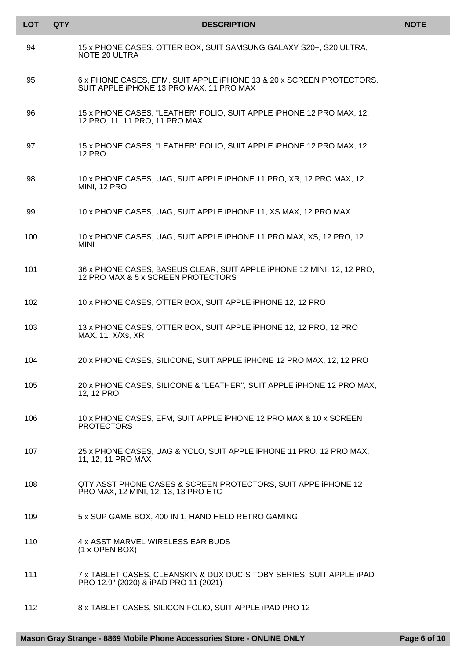| <b>LOT</b> | <b>QTY</b> | <b>DESCRIPTION</b>                                                                                               | <b>NOTE</b> |
|------------|------------|------------------------------------------------------------------------------------------------------------------|-------------|
| 94         |            | 15 x PHONE CASES, OTTER BOX, SUIT SAMSUNG GALAXY S20+, S20 ULTRA,<br>NOTE 20 ULTRA                               |             |
| 95         |            | 6 x PHONE CASES, EFM, SUIT APPLE IPHONE 13 & 20 x SCREEN PROTECTORS,<br>SUIT APPLE IPHONE 13 PRO MAX, 11 PRO MAX |             |
| 96         |            | 15 x PHONE CASES, "LEATHER" FOLIO, SUIT APPLE IPHONE 12 PRO MAX, 12,<br>12 PRO, 11, 11 PRO, 11 PRO MAX           |             |
| 97         |            | 15 x PHONE CASES, "LEATHER" FOLIO, SUIT APPLE IPHONE 12 PRO MAX, 12,<br><b>12 PRO</b>                            |             |
| 98         |            | 10 x PHONE CASES, UAG, SUIT APPLE IPHONE 11 PRO, XR, 12 PRO MAX, 12<br>MINI, 12 PRO                              |             |
| 99         |            | 10 x PHONE CASES, UAG, SUIT APPLE IPHONE 11, XS MAX, 12 PRO MAX                                                  |             |
| 100        |            | 10 x PHONE CASES, UAG, SUIT APPLE IPHONE 11 PRO MAX, XS, 12 PRO, 12<br><b>MINI</b>                               |             |
| 101        |            | 36 x PHONE CASES, BASEUS CLEAR, SUIT APPLE IPHONE 12 MINI, 12, 12 PRO,<br>12 PRO MAX & 5 x SCREEN PROTECTORS     |             |
| 102        |            | 10 x PHONE CASES, OTTER BOX, SUIT APPLE IPHONE 12, 12 PRO                                                        |             |
| 103        |            | 13 x PHONE CASES, OTTER BOX, SUIT APPLE IPHONE 12, 12 PRO, 12 PRO<br>MAX, 11, X/Xs, XR                           |             |
| 104        |            | 20 x PHONE CASES, SILICONE, SUIT APPLE IPHONE 12 PRO MAX, 12, 12 PRO                                             |             |
| 105        |            | 20 x PHONE CASES, SILICONE & "LEATHER", SUIT APPLE IPHONE 12 PRO MAX,<br>12, 12 PRO                              |             |
| 106        |            | 10 x PHONE CASES, EFM, SUIT APPLE IPHONE 12 PRO MAX & 10 x SCREEN<br><b>PROTECTORS</b>                           |             |
| 107        |            | 25 x PHONE CASES, UAG & YOLO, SUIT APPLE IPHONE 11 PRO, 12 PRO MAX,<br>11, 12, 11 PRO MAX                        |             |
| 108        |            | QTY ASST PHONE CASES & SCREEN PROTECTORS, SUIT APPE IPHONE 12<br>PRO MAX, 12 MINI, 12, 13, 13 PRO ETC            |             |
| 109        |            | 5 x SUP GAME BOX, 400 IN 1, HAND HELD RETRO GAMING                                                               |             |
| 110        |            | 4 x ASST MARVEL WIRELESS EAR BUDS<br>$(1 x$ OPEN BOX)                                                            |             |
| 111        |            | 7 x TABLET CASES, CLEANSKIN & DUX DUCIS TOBY SERIES, SUIT APPLE IPAD<br>PRO 12.9" (2020) & iPAD PRO 11 (2021)    |             |
| 112        |            | 8 x TABLET CASES, SILICON FOLIO, SUIT APPLE IPAD PRO 12                                                          |             |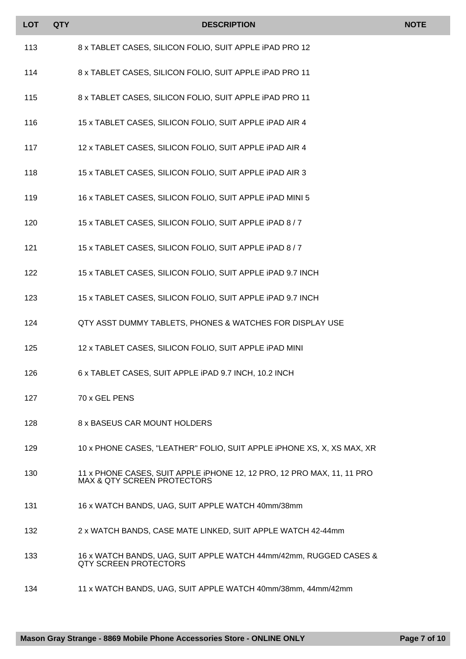| <b>LOT</b> | <b>QTY</b> | <b>DESCRIPTION</b>                                                                                               | <b>NOTE</b> |
|------------|------------|------------------------------------------------------------------------------------------------------------------|-------------|
| 113        |            | 8 x TABLET CASES, SILICON FOLIO, SUIT APPLE IPAD PRO 12                                                          |             |
| 114        |            | 8 x TABLET CASES, SILICON FOLIO, SUIT APPLE IPAD PRO 11                                                          |             |
| 115        |            | 8 x TABLET CASES, SILICON FOLIO, SUIT APPLE IPAD PRO 11                                                          |             |
| 116        |            | 15 x TABLET CASES, SILICON FOLIO, SUIT APPLE IPAD AIR 4                                                          |             |
| 117        |            | 12 x TABLET CASES, SILICON FOLIO, SUIT APPLE IPAD AIR 4                                                          |             |
| 118        |            | 15 x TABLET CASES, SILICON FOLIO, SUIT APPLE IPAD AIR 3                                                          |             |
| 119        |            | 16 x TABLET CASES, SILICON FOLIO, SUIT APPLE IPAD MINI 5                                                         |             |
| 120        |            | 15 x TABLET CASES, SILICON FOLIO, SUIT APPLE IPAD 8 / 7                                                          |             |
| 121        |            | 15 x TABLET CASES, SILICON FOLIO, SUIT APPLE IPAD 8 / 7                                                          |             |
| 122        |            | 15 x TABLET CASES, SILICON FOLIO, SUIT APPLE IPAD 9.7 INCH                                                       |             |
| 123        |            | 15 x TABLET CASES, SILICON FOLIO, SUIT APPLE IPAD 9.7 INCH                                                       |             |
| 124        |            | QTY ASST DUMMY TABLETS, PHONES & WATCHES FOR DISPLAY USE                                                         |             |
| 125        |            | 12 x TABLET CASES, SILICON FOLIO, SUIT APPLE IPAD MINI                                                           |             |
| 126        |            | 6 x TABLET CASES, SUIT APPLE IPAD 9.7 INCH, 10.2 INCH                                                            |             |
| 127        |            | 70 x GEL PENS                                                                                                    |             |
| 128        |            | 8 x BASEUS CAR MOUNT HOLDERS                                                                                     |             |
| 129        |            | 10 x PHONE CASES, "LEATHER" FOLIO, SUIT APPLE IPHONE XS, X, XS MAX, XR                                           |             |
| 130        |            | 11 x PHONE CASES, SUIT APPLE IPHONE 12, 12 PRO, 12 PRO MAX, 11, 11 PRO<br><b>MAX &amp; QTY SCREEN PROTECTORS</b> |             |
| 131        |            | 16 x WATCH BANDS, UAG, SUIT APPLE WATCH 40mm/38mm                                                                |             |
| 132        |            | 2 x WATCH BANDS, CASE MATE LINKED, SUIT APPLE WATCH 42-44mm                                                      |             |
| 133        |            | 16 x WATCH BANDS, UAG, SUIT APPLE WATCH 44mm/42mm, RUGGED CASES &<br><b>QTY SCREEN PROTECTORS</b>                |             |
| 134        |            | 11 x WATCH BANDS, UAG, SUIT APPLE WATCH 40mm/38mm, 44mm/42mm                                                     |             |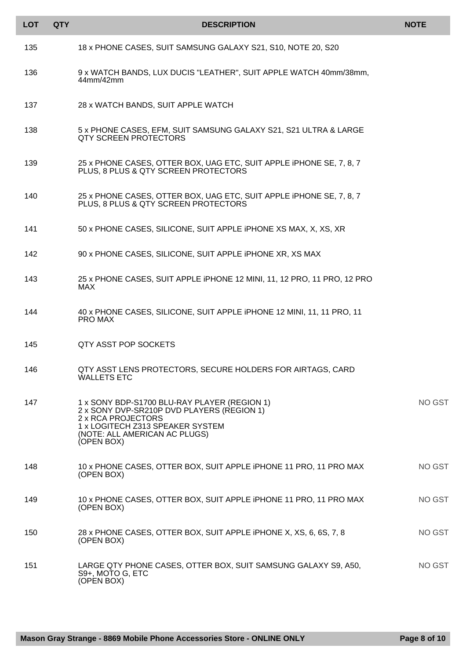| <b>LOT</b> | <b>QTY</b> | <b>DESCRIPTION</b>                                                                                                                                                                                  | <b>NOTE</b> |
|------------|------------|-----------------------------------------------------------------------------------------------------------------------------------------------------------------------------------------------------|-------------|
| 135        |            | 18 x PHONE CASES, SUIT SAMSUNG GALAXY S21, S10, NOTE 20, S20                                                                                                                                        |             |
| 136        |            | 9 x WATCH BANDS, LUX DUCIS "LEATHER", SUIT APPLE WATCH 40mm/38mm,<br>44mm/42mm                                                                                                                      |             |
| 137        |            | 28 x WATCH BANDS, SUIT APPLE WATCH                                                                                                                                                                  |             |
| 138        |            | 5 x PHONE CASES, EFM, SUIT SAMSUNG GALAXY S21, S21 ULTRA & LARGE<br><b>QTY SCREEN PROTECTORS</b>                                                                                                    |             |
| 139        |            | 25 x PHONE CASES, OTTER BOX, UAG ETC, SUIT APPLE IPHONE SE, 7, 8, 7<br>PLUS, 8 PLUS & QTY SCREEN PROTECTORS                                                                                         |             |
| 140        |            | 25 x PHONE CASES, OTTER BOX, UAG ETC, SUIT APPLE IPHONE SE, 7, 8, 7<br>PLUS, 8 PLUS & QTY SCREEN PROTECTORS                                                                                         |             |
| 141        |            | 50 x PHONE CASES, SILICONE, SUIT APPLE IPHONE XS MAX, X, XS, XR                                                                                                                                     |             |
| 142        |            | 90 x PHONE CASES, SILICONE, SUIT APPLE IPHONE XR, XS MAX                                                                                                                                            |             |
| 143        |            | 25 x PHONE CASES, SUIT APPLE IPHONE 12 MINI, 11, 12 PRO, 11 PRO, 12 PRO<br>MAX                                                                                                                      |             |
| 144        |            | 40 x PHONE CASES, SILICONE, SUIT APPLE IPHONE 12 MINI, 11, 11 PRO, 11<br>PRO MAX                                                                                                                    |             |
| 145        |            | QTY ASST POP SOCKETS                                                                                                                                                                                |             |
| 146        |            | QTY ASST LENS PROTECTORS, SECURE HOLDERS FOR AIRTAGS, CARD<br><b>WALLETS ETC</b>                                                                                                                    |             |
| 147        |            | 1 x SONY BDP-S1700 BLU-RAY PLAYER (REGION 1)<br>2 x SONY DVP-SR210P DVD PLAYERS (REGION 1)<br>2 x RCA PROJECTORS<br>1 x LOGITECH Z313 SPEAKER SYSTEM<br>(NOTE: ALL AMERICAN AC PLUGS)<br>(OPEN BOX) | NO GST      |
| 148        |            | 10 x PHONE CASES, OTTER BOX, SUIT APPLE IPHONE 11 PRO, 11 PRO MAX<br>(OPEN BOX)                                                                                                                     | NO GST      |
| 149        |            | 10 x PHONE CASES, OTTER BOX, SUIT APPLE IPHONE 11 PRO, 11 PRO MAX<br>(OPEN BOX)                                                                                                                     | NO GST      |
| 150        |            | 28 x PHONE CASES, OTTER BOX, SUIT APPLE IPHONE X, XS, 6, 6S, 7, 8<br>(OPEN BOX)                                                                                                                     | NO GST      |
| 151        |            | LARGE QTY PHONE CASES, OTTER BOX, SUIT SAMSUNG GALAXY S9, A50,<br>S9+, MOTO G, ETC<br>(OPEN BOX)                                                                                                    | NO GST      |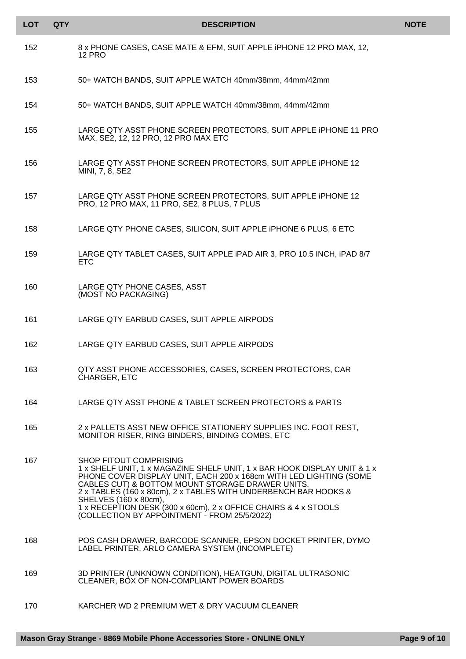| <b>LOT</b> | <b>QTY</b> | <b>DESCRIPTION</b>                                                                                                                                                                                                                                                                                                                                                                                                                          | <b>NOTE</b> |
|------------|------------|---------------------------------------------------------------------------------------------------------------------------------------------------------------------------------------------------------------------------------------------------------------------------------------------------------------------------------------------------------------------------------------------------------------------------------------------|-------------|
| 152        |            | 8 x PHONE CASES, CASE MATE & EFM, SUIT APPLE IPHONE 12 PRO MAX, 12,<br><b>12 PRO</b>                                                                                                                                                                                                                                                                                                                                                        |             |
| 153        |            | 50+ WATCH BANDS, SUIT APPLE WATCH 40mm/38mm, 44mm/42mm                                                                                                                                                                                                                                                                                                                                                                                      |             |
| 154        |            | 50+ WATCH BANDS, SUIT APPLE WATCH 40mm/38mm, 44mm/42mm                                                                                                                                                                                                                                                                                                                                                                                      |             |
| 155        |            | LARGE QTY ASST PHONE SCREEN PROTECTORS, SUIT APPLE IPHONE 11 PRO<br>MAX, SE2, 12, 12 PRO, 12 PRO MAX ETC                                                                                                                                                                                                                                                                                                                                    |             |
| 156        |            | LARGE QTY ASST PHONE SCREEN PROTECTORS, SUIT APPLE IPHONE 12<br>MINI, 7, 8, SE2                                                                                                                                                                                                                                                                                                                                                             |             |
| 157        |            | LARGE QTY ASST PHONE SCREEN PROTECTORS, SUIT APPLE IPHONE 12<br>PRO, 12 PRO MAX, 11 PRO, SE2, 8 PLUS, 7 PLUS                                                                                                                                                                                                                                                                                                                                |             |
| 158        |            | LARGE QTY PHONE CASES, SILICON, SUIT APPLE IPHONE 6 PLUS, 6 ETC                                                                                                                                                                                                                                                                                                                                                                             |             |
| 159        |            | LARGE QTY TABLET CASES, SUIT APPLE IPAD AIR 3, PRO 10.5 INCH, IPAD 8/7<br><b>ETC</b>                                                                                                                                                                                                                                                                                                                                                        |             |
| 160        |            | LARGE QTY PHONE CASES, ASST<br>(MOST NO PACKAGING)                                                                                                                                                                                                                                                                                                                                                                                          |             |
| 161        |            | LARGE QTY EARBUD CASES, SUIT APPLE AIRPODS                                                                                                                                                                                                                                                                                                                                                                                                  |             |
| 162        |            | LARGE QTY EARBUD CASES, SUIT APPLE AIRPODS                                                                                                                                                                                                                                                                                                                                                                                                  |             |
| 163        |            | QTY ASST PHONE ACCESSORIES, CASES, SCREEN PROTECTORS, CAR<br>CHARGER, ETC                                                                                                                                                                                                                                                                                                                                                                   |             |
| 164        |            | LARGE QTY ASST PHONE & TABLET SCREEN PROTECTORS & PARTS                                                                                                                                                                                                                                                                                                                                                                                     |             |
| 165        |            | 2 x PALLETS ASST NEW OFFICE STATIONERY SUPPLIES INC. FOOT REST,<br>MONITOR RISER, RING BINDERS, BINDING COMBS, ETC                                                                                                                                                                                                                                                                                                                          |             |
| 167        |            | SHOP FITOUT COMPRISING<br>1 x SHELF UNIT, 1 x MAGAZINE SHELF UNIT, 1 x BAR HOOK DISPLAY UNIT & 1 x<br>PHONE COVER DISPLAY UNIT, EACH 200 x 168cm WITH LED LIGHTING (SOME<br>CABLES CUT) & BOTTOM MOUNT STORAGE DRAWER UNITS,<br>2 x TABLES (160 x 80cm), 2 x TABLES WITH UNDERBENCH BAR HOOKS &<br>SHELVES (160 x 80cm),<br>1 x RECEPTION DESK (300 x 60cm), 2 x OFFICE CHAIRS & 4 x STOOLS<br>(COLLECTION BY APPOINTMENT - FROM 25/5/2022) |             |
| 168        |            | POS CASH DRAWER, BARCODE SCANNER, EPSON DOCKET PRINTER, DYMO<br>LABEL PRINTER, ARLO CAMERA SYSTEM (INCOMPLETE)                                                                                                                                                                                                                                                                                                                              |             |
| 169        |            | 3D PRINTER (UNKNOWN CONDITION), HEATGUN, DIGITAL ULTRASONIC<br>CLEANER, BOX OF NON-COMPLIANT POWER BOARDS                                                                                                                                                                                                                                                                                                                                   |             |
| 170        |            | KARCHER WD 2 PREMIUM WET & DRY VACUUM CLEANER                                                                                                                                                                                                                                                                                                                                                                                               |             |